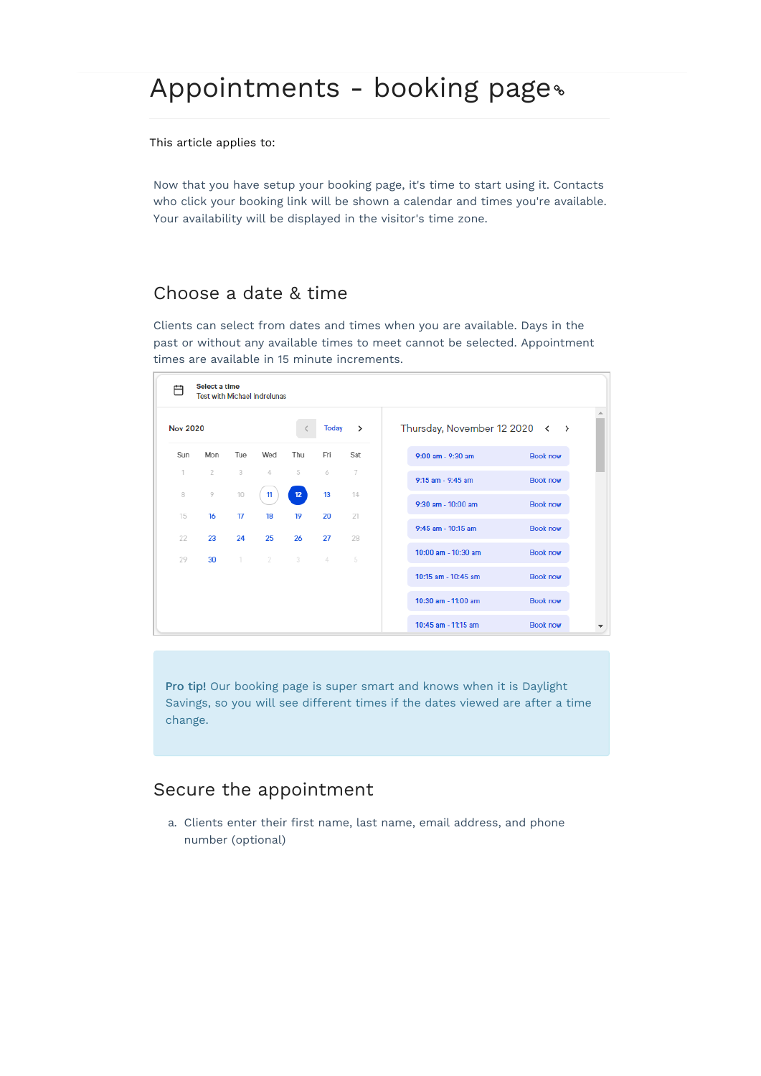This article applies to:

Now that you have setup your booking page, it's time to start using it. Contacts who click your booking link will be shown a calendar and times you're available. Your availability will be displayed in the visitor's time zone.

### Choose a date & time

Clients can select from dates and times when you are available. Days in the past or without any available times to meet cannot be selected. Appointment times are available in 15 minute increments.

| Thursday, November 12 2020 <<br><b>Nov 2020</b><br>$\rightarrow$<br>Today<br>$\rightarrow$<br>Fri<br>Mon<br>Tue<br>Wed<br>Thu<br>Sat<br><b>Book now</b><br>$9:00$ am - $9:30$ am<br>3<br>$\overline{2}$<br>5<br>6<br>$\overline{I}$<br>4<br>$9:15$ am - $9:45$ am<br><b>Book now</b><br>9<br>10<br>13<br>12 <sub>2</sub><br>11<br>14<br><b>Book now</b><br>9:30 am - 10:00 am<br>16<br>17<br>19<br>20<br>21<br>18<br>9:45 am - 10:15 am<br><b>Book now</b><br>23<br>25<br>26<br>27<br>24<br>28<br>10:00 am - 10:30 am<br><b>Book now</b><br>$2 \t 3$<br>4<br>5<br>$\top$<br>30 |     | Select a time | <b>Test with Michael Indrelunas</b> |  |                     |                 |
|--------------------------------------------------------------------------------------------------------------------------------------------------------------------------------------------------------------------------------------------------------------------------------------------------------------------------------------------------------------------------------------------------------------------------------------------------------------------------------------------------------------------------------------------------------------------------------|-----|---------------|-------------------------------------|--|---------------------|-----------------|
| 1<br>8<br>15<br>22<br>29                                                                                                                                                                                                                                                                                                                                                                                                                                                                                                                                                       |     |               |                                     |  |                     |                 |
|                                                                                                                                                                                                                                                                                                                                                                                                                                                                                                                                                                                | Sun |               |                                     |  |                     |                 |
|                                                                                                                                                                                                                                                                                                                                                                                                                                                                                                                                                                                |     |               |                                     |  |                     |                 |
|                                                                                                                                                                                                                                                                                                                                                                                                                                                                                                                                                                                |     |               |                                     |  |                     |                 |
|                                                                                                                                                                                                                                                                                                                                                                                                                                                                                                                                                                                |     |               |                                     |  |                     |                 |
|                                                                                                                                                                                                                                                                                                                                                                                                                                                                                                                                                                                |     |               |                                     |  |                     |                 |
|                                                                                                                                                                                                                                                                                                                                                                                                                                                                                                                                                                                |     |               |                                     |  | 10:15 am - 10:45 am | <b>Book now</b> |
|                                                                                                                                                                                                                                                                                                                                                                                                                                                                                                                                                                                |     |               |                                     |  | 10:30 am - 11:00 am | <b>Book now</b> |
|                                                                                                                                                                                                                                                                                                                                                                                                                                                                                                                                                                                |     |               |                                     |  | 10:45 am - 11:15 am | <b>Book now</b> |

Pro tip! Our booking page is super smart and knows when it is Daylight Savings, so you will see different times if the dates viewed are after a time change.

### Secure the appointment

a. Clients enter their first name, last name, email address, and phone number (optional)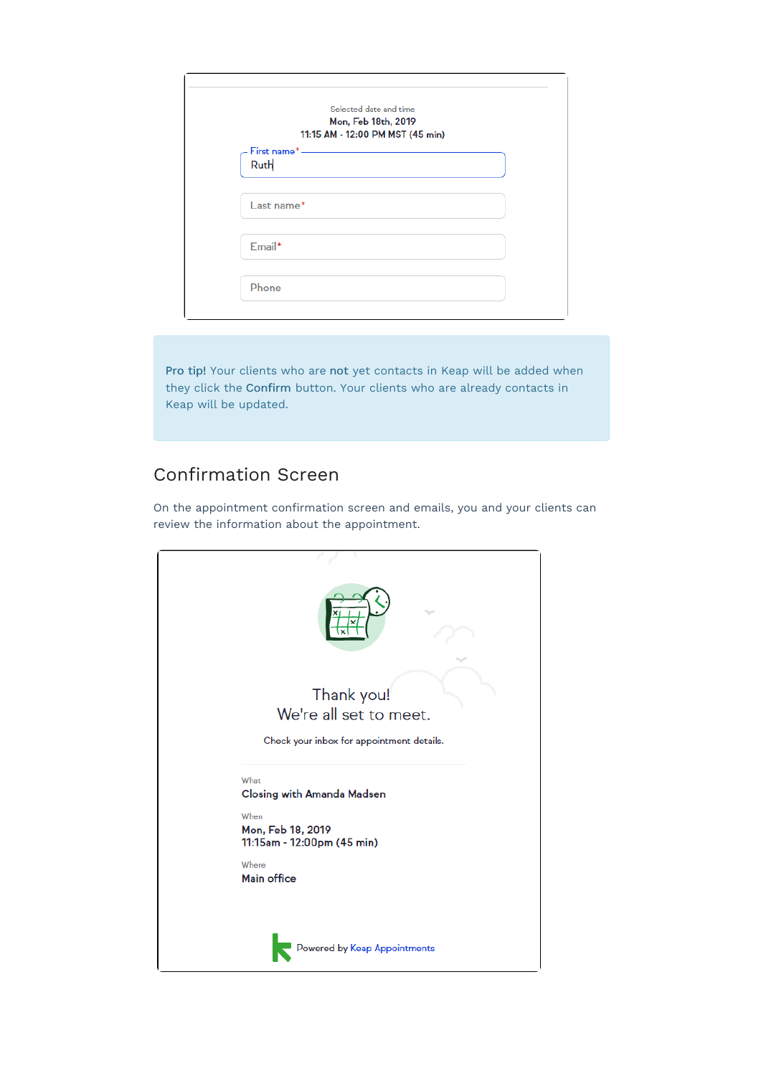| Selected date and time<br>Mon, Feb 18th, 2019<br>11:15 AM - 12:00 PM MST (45 min) |  |
|-----------------------------------------------------------------------------------|--|
| - First name* ————<br>Ruth                                                        |  |
| $Last name*$                                                                      |  |
| Email*                                                                            |  |
| Phone                                                                             |  |

Pro tip! Your clients who are not yet contacts in Keap will be added when they click the Confirm button. Your clients who are already contacts in Keap will be updated.

## Confirmation Screen

On the appointment confirmation screen and emails, you and your clients can review the information about the appointment.

| Thank you!<br>We're all set to meet.<br>Check your inbox for appointment details.                    |
|------------------------------------------------------------------------------------------------------|
| What<br><b>Closing with Amanda Madsen</b><br>When<br>Mon, Feb 18, 2019<br>11:15am - 12:00pm (45 min) |
| Where<br>Main office                                                                                 |
| Powered by Keap Appointments                                                                         |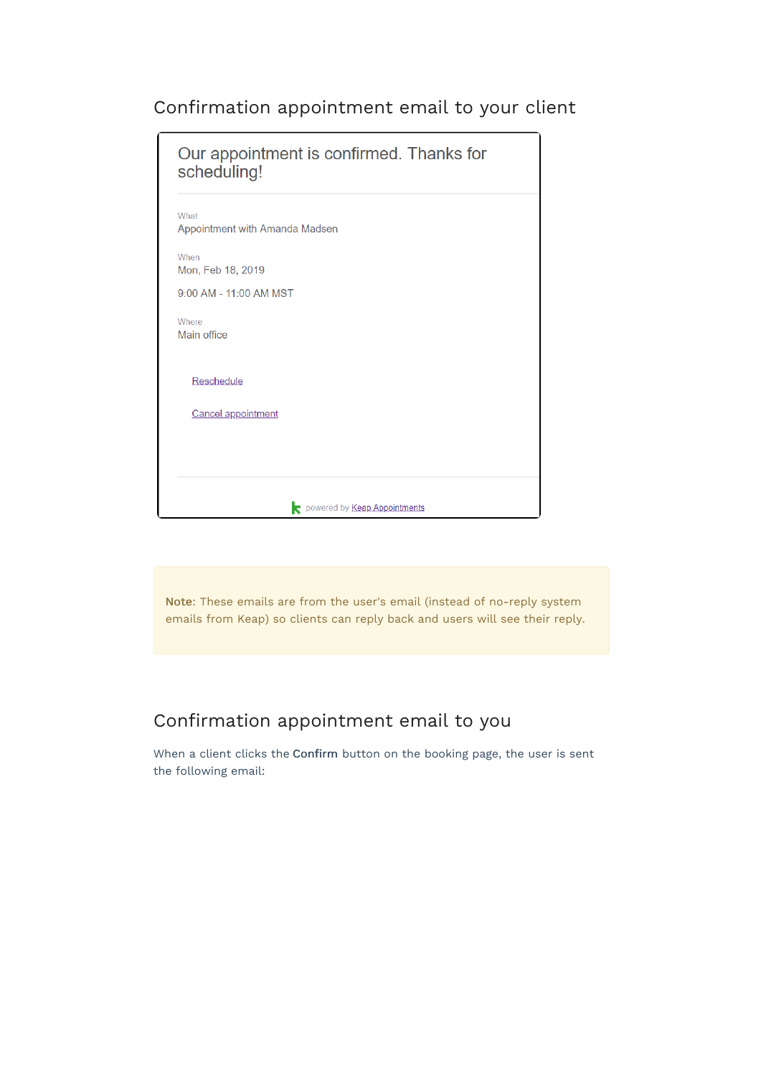# Confirmation appointment email to your client

| scheduling!                            | Our appointment is confirmed. Thanks for |
|----------------------------------------|------------------------------------------|
| What<br>Appointment with Amanda Madsen |                                          |
| When<br>Mon, Feb 18, 2019              |                                          |
| 9:00 AM - 11:00 AM MST                 |                                          |
| Where<br>Main office                   |                                          |
| <b>Reschedule</b>                      |                                          |
| <b>Cancel appointment</b>              |                                          |
|                                        |                                          |
|                                        |                                          |

Note: These emails are from the user's email (instead of no-reply system emails from Keap) so clients can reply back and users will see their reply.

### Confirmation appointment email to you

When a client clicks the Confirm button on the booking page, the user is sent the following email: